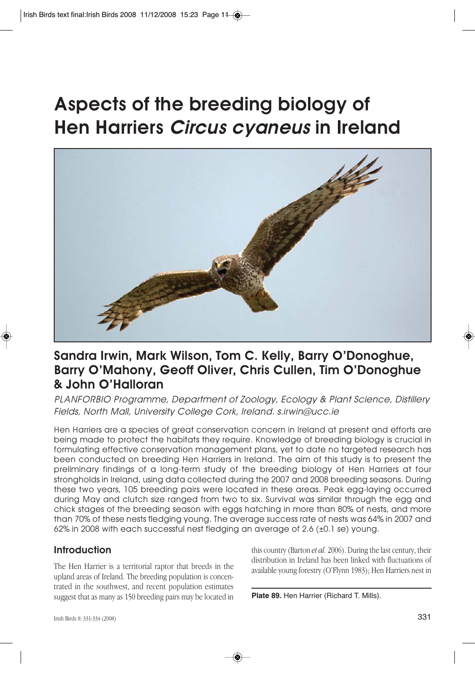# **Aspects of the breeding biology of Hen Harriers Circus cyaneus in Ireland**



## **Sandra Irwin, Mark Wilson, Tom C. Kelly, Barry O'Donoghue, Barry O'Mahony, Geoff Oliver, Chris Cullen, Tim O'Donoghue & John O'Halloran**

PLANFORBIO Programme, Department of Zoology, Ecology & Plant Science, Distillery Fields, North Mall, University College Cork, Ireland. s.irwin@ucc.ie

Hen Harriers are a species of great conservation concern in Ireland at present and efforts are being made to protect the habitats they require. Knowledge of breeding biology is crucial in formulating effective conservation management plans, yet to date no targeted research has been conducted on breeding Hen Harriers in Ireland. The aim of this study is to present the preliminary findings of a long-term study of the breeding biology of Hen Harriers at four strongholds in Ireland, using data collected during the 2007 and 2008 breeding seasons. During these two years, 105 breeding pairs were located in these areas. Peak egg-laying occurred during May and clutch size ranged from two to six. Survival was similar through the egg and chick stages of the breeding season with eggs hatching in more than 80% of nests, and more than 70% of these nests fledging young. The average success rate of nests was 64% in 2007 and 62% in 2008 with each successful nest fledging an average of 2.6 (±0.1 se) young.

### **Introduction**

The Hen Harrier is a territorial raptor that breeds in the upland areas of Ireland. The breeding population is concentrated in the southwest, and recent population estimates suggest that as many as 150 breeding pairs may be located in this country (Barton *et al.* 2006). During the last century, their distribution in Ireland has been linked with fluctuations of available young forestry (O'Flynn 1983); Hen Harriers nest in

**Plate 89.** Hen Harrier (Richard T. Mills).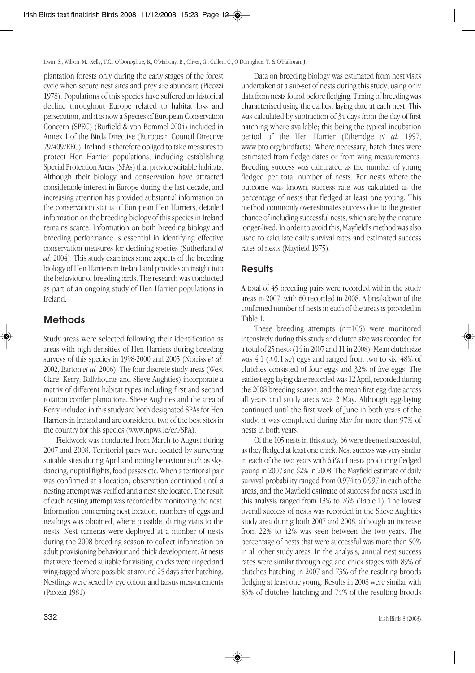plantation forests only during the early stages of the forest cycle when secure nest sites and prey are abundant (Picozzi 1978). Populations of this species have suffered an historical decline throughout Europe related to habitat loss and persecution, and it is now a Species of European Conservation Concern (SPEC) (Burfield & von Bommel 2004) included in Annex 1 of the Birds Directive (European Council Directive 79/409/EEC). Ireland is therefore obliged to take measures to protect Hen Harrier populations, including establishing Special Protection Areas (SPAs) that provide suitable habitats. Although their biology and conservation have attracted considerable interest in Europe during the last decade, and increasing attention has provided substantial information on the conservation status of European Hen Harriers, detailed information on the breeding biology of this species in Ireland remains scarce. Information on both breeding biology and breeding performance is essential in identifying effective conservation measures for declining species (Sutherland *et al.* 2004). This study examines some aspects of the breeding biology of Hen Harriers in Ireland and provides an insight into the behaviour of breeding birds. The research was conducted as part of an ongoing study of Hen Harrier populations in Ireland.

## **Methods**

Study areas were selected following their identification as areas with high densities of Hen Harriers during breeding surveys of this species in 1998-2000 and 2005 (Norriss *et al.* 2002, Barton *et al.* 2006). The four discrete study areas (West Clare, Kerry, Ballyhouras and Slieve Aughties) incorporate a matrix of different habitat types including first and second rotation conifer plantations. Slieve Aughties and the area of Kerry included in this study are both designated SPAs for Hen Harriers in Ireland and are considered two of the best sites in the country for this species (www.npws.ie/en/SPA).

Fieldwork was conducted from March to August during 2007 and 2008. Territorial pairs were located by surveying suitable sites during April and noting behaviour such as skydancing, nuptial flights, food passes etc. When a territorial pair was confirmed at a location, observation continued until a nesting attempt was verified and a nest site located. The result of each nesting attempt was recorded by monitoring the nest. Information concerning nest location, numbers of eggs and nestlings was obtained, where possible, during visits to the nests. Nest cameras were deployed at a number of nests during the 2008 breeding season to collect information on adult provisioning behaviour and chick development. At nests that were deemed suitable for visiting, chicks were ringed and wing-tagged where possible at around 25 days after hatching. Nestlings were sexed by eye colour and tarsus measurements (Picozzi 1981).

Data on breeding biology was estimated from nest visits undertaken at a sub-set of nests during this study, using only data from nests found before fledging. Timing of breeding was characterised using the earliest laying date at each nest. This was calculated by subtraction of 34 days from the day of first hatching where available; this being the typical incubation period of the Hen Harrier (Etheridge *et al.* 1997, www.bto.org/birdfacts). Where necessary, hatch dates were estimated from fledge dates or from wing measurements. Breeding success was calculated as the number of young fledged per total number of nests. For nests where the outcome was known, success rate was calculated as the percentage of nests that fledged at least one young. This method commonly overestimates success due to the greater chance of including successful nests, which are by their nature longer-lived. In order to avoid this, Mayfield's method was also used to calculate daily survival rates and estimated success rates of nests (Mayfield 1975).

## **Results**

A total of 45 breeding pairs were recorded within the study areas in 2007, with 60 recorded in 2008. A breakdown of the confirmed number of nests in each of the areas is provided in Table 1.

These breeding attempts (n=105) were monitored intensively during this study and clutch size was recorded for a total of 25 nests (14 in 2007 and 11 in 2008). Mean clutch size was  $4.1$  ( $\pm 0.1$  se) eggs and ranged from two to six. 48% of clutches consisted of four eggs and 32% of five eggs. The earliest egg-laying date recorded was 12 April, recorded during the 2008 breeding season, and the mean first egg date across all years and study areas was 2 May. Although egg-laying continued until the first week of June in both years of the study, it was completed during May for more than 97% of nests in both years.

Of the 105 nests in this study, 66 were deemed successful, as they fledged at least one chick. Nest success was very similar in each of the two years with 64% of nests producing fledged young in 2007 and 62% in 2008. The Mayfield estimate of daily survival probability ranged from 0.974 to 0.997 in each of the areas, and the Mayfield estimate of success for nests used in this analysis ranged from 13% to 76% (Table 1). The lowest overall success of nests was recorded in the Slieve Aughties study area during both 2007 and 2008, although an increase from 22% to 42% was seen between the two years. The percentage of nests that were successful was more than 50% in all other study areas. In the analysis, annual nest success rates were similar through egg and chick stages with 89% of clutches hatching in 2007 and 73% of the resulting broods fledging at least one young. Results in 2008 were similar with 83% of clutches hatching and 74% of the resulting broods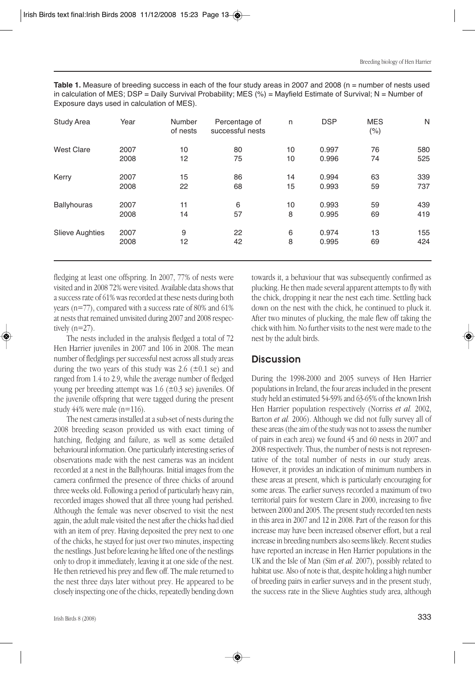Table 1. Measure of breeding success in each of the four study areas in 2007 and 2008 (n = number of nests used in calculation of MES; DSP = Daily Survival Probability; MES (%) = Mayfield Estimate of Survival; N = Number of Exposure days used in calculation of MES).

| <b>Study Area</b>      | Year | Number<br>of nests | Percentage of<br>successful nests | n  | <b>DSP</b> | <b>MES</b><br>$(\% )$ | N   |
|------------------------|------|--------------------|-----------------------------------|----|------------|-----------------------|-----|
| <b>West Clare</b>      | 2007 | 10                 | 80                                | 10 | 0.997      | 76                    | 580 |
|                        | 2008 | 12                 | 75                                | 10 | 0.996      | 74                    | 525 |
| Kerry                  | 2007 | 15                 | 86                                | 14 | 0.994      | 63                    | 339 |
|                        | 2008 | 22                 | 68                                | 15 | 0.993      | 59                    | 737 |
| <b>Ballyhouras</b>     | 2007 | 11                 | 6                                 | 10 | 0.993      | 59                    | 439 |
|                        | 2008 | 14                 | 57                                | 8  | 0.995      | 69                    | 419 |
| <b>Slieve Aughties</b> | 2007 | 9                  | 22                                | 6  | 0.974      | 13                    | 155 |
|                        | 2008 | 12                 | 42                                | 8  | 0.995      | 69                    | 424 |

fledging at least one offspring. In 2007, 77% of nests were visited and in 2008 72% were visited. Available data shows that a success rate of 61% was recorded at these nests during both years (n=77), compared with a success rate of 80% and 61% at nests that remained unvisited during 2007 and 2008 respectively  $(n=27)$ .

The nests included in the analysis fledged a total of 72 Hen Harrier juveniles in 2007 and 106 in 2008. The mean number of fledglings per successful nest across all study areas during the two years of this study was 2.6  $(\pm 0.1 \text{ se})$  and ranged from 1.4 to 2.9, while the average number of fledged young per breeding attempt was  $1.6$  ( $\pm 0.3$  se) juveniles. Of the juvenile offspring that were tagged during the present study 44% were male (n=116).

The nest cameras installed at a sub-set of nests during the 2008 breeding season provided us with exact timing of hatching, fledging and failure, as well as some detailed behavioural information. One particularly interesting series of observations made with the nest cameras was an incident recorded at a nest in the Ballyhouras. Initial images from the camera confirmed the presence of three chicks of around three weeks old. Following a period of particularly heavy rain, recorded images showed that all three young had perished. Although the female was never observed to visit the nest again, the adult male visited the nest after the chicks had died with an item of prey. Having deposited the prey next to one of the chicks, he stayed for just over two minutes, inspecting the nestlings. Just before leaving he lifted one of the nestlings only to drop it immediately, leaving it at one side of the nest. He then retrieved his prey and flew off. The male returned to the nest three days later without prey. He appeared to be closely inspecting one of the chicks, repeatedly bending down towards it, a behaviour that was subsequently confirmed as plucking. He then made several apparent attempts to fly with the chick, dropping it near the nest each time. Settling back down on the nest with the chick, he continued to pluck it. After two minutes of plucking, the male flew off taking the chick with him. No further visits to the nest were made to the nest by the adult birds.

#### **Discussion**

During the 1998-2000 and 2005 surveys of Hen Harrier populations in Ireland, the four areas included in the present study held an estimated 54-59% and 63-65% of the known Irish Hen Harrier population respectively (Norriss *et al.* 2002, Barton *et al.* 2006). Although we did not fully survey all of these areas (the aim of the study was not to assess the number of pairs in each area) we found 45 and 60 nests in 2007 and 2008 respectively. Thus, the number of nests is not representative of the total number of nests in our study areas. However, it provides an indication of minimum numbers in these areas at present, which is particularly encouraging for some areas. The earlier surveys recorded a maximum of two territorial pairs for western Clare in 2000, increasing to five between 2000 and 2005. The present study recorded ten nests in this area in 2007 and 12 in 2008. Part of the reason for this increase may have been increased observer effort, but a real increase in breeding numbers also seems likely. Recent studies have reported an increase in Hen Harrier populations in the UK and the Isle of Man (Sim *et al.* 2007), possibly related to habitat use. Also of note is that, despite holding a high number of breeding pairs in earlier surveys and in the present study, the success rate in the Slieve Aughties study area, although